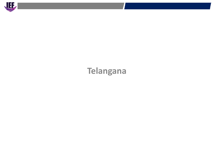

# **Telangana**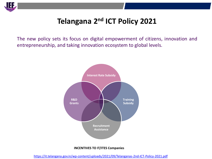

# **Telangana 2 nd ICT Policy 2021**

The new policy sets its focus on digital empowerment of citizens, innovation and entrepreneurship, and taking innovation ecosystem to global levels.



#### **INCENTIVES TO IT/ITES Companies**

<https://it.telangana.gov.in/wp-content/uploads/2021/09/Telanganas-2nd-ICT-Policy-2021.pdf>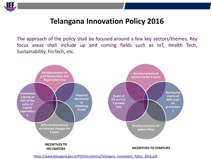

# **Telangana Innovation Policy 2016**

The approach of the policy shall be focused around a few key sectors/themes. Key focus areas shall include up and coming fields such as IoT, Health Tech, Sustainability, FinTech, etc.



[https://www.telangana.gov.in/PDFDocuments/Telangana\\_Innovation\\_Policy\\_2016.pdf](https://www.telangana.gov.in/PDFDocuments/Telangana_Innovation_Policy_2016.pdf)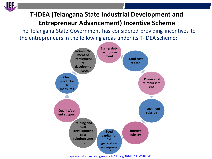

## **T-IDEA (Telangana State Industrial Development and Entrepreneur Advancement) Incentive Scheme**

The Telangana State Government has considered providing incentives to the entrepreneurs in the following areas under its T-IDEA scheme:

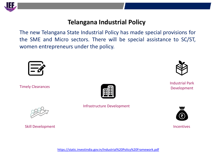

### **Telangana Industrial Policy**

The new Telangana State Industrial Policy has made special provisions for the SME and Micro sectors. There will be special assistance to SC/ST, women entrepreneurs under the policy.



Timely Clearances and the contract of the Clear of the Clear of the Clear of the Development



Infrastructure Development



Industrial Park



Skill Development and the state of the state of the state of the state of the state of the state of the state of the state of the state of the state of the state of the state of the state of the state of the state of the s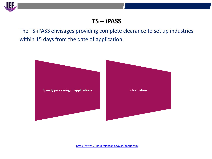

## **TS – iPASS**

The TS-iPASS envisages providing complete clearance to set up industries within 15 days from the date of application.

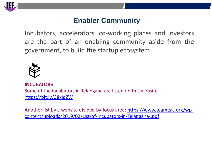

## **Enabler Community**

Incubators, accelerators, co-working places and Investors are the part of an enabling community aside from the government, to build the startup ecosystem.



#### **INCUBATORS**

Some of the incubators in Telangana are listed on this website: <https://bit.ly/38xIdZW>

**Utility**  [content/uploads/2019/02/List-of-Incubators-in-Telangana-.pdf](https://www.teamtsic.org/wp-content/uploads/2019/02/List-of-Incubators-in-Telangana-.pdf)**Support** Another list by a website divided by focus area: [https://www.teamtsic.org/wp-](https://www.teamtsic.org/wp-content/uploads/2019/02/List-of-Incubators-in-Telangana-.pdf)